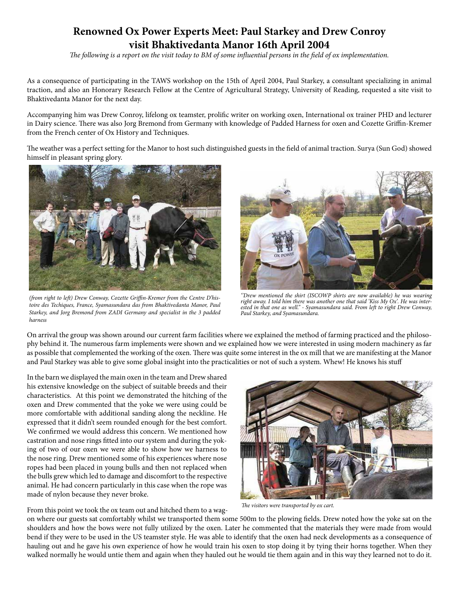# **Renowned Ox Power Experts Meet: Paul Starkey and Drew Conroy visit Bhaktivedanta Manor 16th April 2004**

*The following is a report on the visit today to BM of some influential persons in the field of ox implementation.*

As a consequence of participating in the TAWS workshop on the 15th of April 2004, Paul Starkey, a consultant specializing in animal traction, and also an Honorary Research Fellow at the Centre of Agricultural Strategy, University of Reading, requested a site visit to Bhaktivedanta Manor for the next day.

Accompanying him was Drew Conroy, lifelong ox teamster, prolific writer on working oxen, International ox trainer PHD and lecturer in Dairy science. There was also Jorg Bremond from Germany with knowledge of Padded Harness for oxen and Cozette Griffin-Kremer from the French center of Ox History and Techniques.

The weather was a perfect setting for the Manor to host such distinguished guests in the field of animal traction. Surya (Sun God) showed himself in pleasant spring glory.



*(from right to left) Drew Conway, Cozette Griffin-Kremer from the Centre D'histoire des Techiques, France, Syamasundara das from Bhaktivedanta Manor, Paul Starkey, and Jorg Bremond from ZADI Germany and specialist in the 3 padded harness*



*''Drew mentioned the shirt (ISCOWP shirts are now available) he was wearing right away. I told him there was another one that said 'Kiss My Ox'. He was interested in that one as well.'' - Syamasundara said. From left to right Drew Conway, Paul Starkey, and Syamasundara.*

On arrival the group was shown around our current farm facilities where we explained the method of farming practiced and the philosophy behind it. The numerous farm implements were shown and we explained how we were interested in using modern machinery as far as possible that complemented the working of the oxen. There was quite some interest in the ox mill that we are manifesting at the Manor and Paul Starkey was able to give some global insight into the practicalities or not of such a system. Whew! He knows his stuff

In the barn we displayed the main oxen in the team and Drew shared his extensive knowledge on the subject of suitable breeds and their characteristics. At this point we demonstrated the hitching of the oxen and Drew commented that the yoke we were using could be more comfortable with additional sanding along the neckline. He expressed that it didn't seem rounded enough for the best comfort. We confirmed we would address this concern. We mentioned how castration and nose rings fitted into our system and during the yoking of two of our oxen we were able to show how we harness to the nose ring. Drew mentioned some of his experiences where nose ropes had been placed in young bulls and then not replaced when the bulls grew which led to damage and discomfort to the respective animal. He had concern particularly in this case when the rope was made of nylon because they never broke.



*The visitors were transported by ox cart.*

From this point we took the ox team out and hitched them to a wagon where our guests sat comfortably whilst we transported them some 500m to the plowing fields. Drew noted how the yoke sat on the shoulders and how the bows were not fully utilized by the oxen. Later he commented that the materials they were made from would bend if they were to be used in the US teamster style. He was able to identify that the oxen had neck developments as a consequence of hauling out and he gave his own experience of how he would train his oxen to stop doing it by tying their horns together. When they walked normally he would untie them and again when they hauled out he would tie them again and in this way they learned not to do it.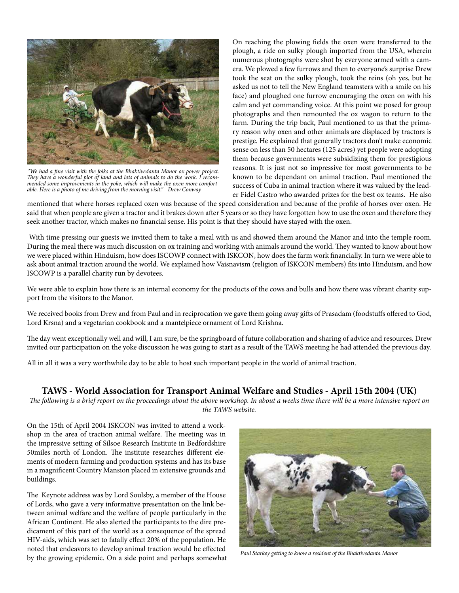

*''We had a fine visit with the folks at the Bhaktivedanta Manor ox power project. They have a wonderful plot of land and lots of animals to do the work. I recommended some improvements in the yoke, which will make the oxen more comfortable. Here is a photo of me driving from the morning visit.'' - Drew Conway*

On reaching the plowing fields the oxen were transferred to the plough, a ride on sulky plough imported from the USA, wherein numerous photographs were shot by everyone armed with a camera. We plowed a few furrows and then to everyone's surprise Drew took the seat on the sulky plough, took the reins (oh yes, but he asked us not to tell the New England teamsters with a smile on his face) and ploughed one furrow encouraging the oxen on with his calm and yet commanding voice. At this point we posed for group photographs and then remounted the ox wagon to return to the farm. During the trip back, Paul mentioned to us that the primary reason why oxen and other animals are displaced by tractors is prestige. He explained that generally tractors don't make economic sense on less than 50 hectares (125 acres) yet people were adopting them because governments were subsidizing them for prestigious reasons. It is just not so impressive for most governments to be known to be dependant on animal traction. Paul mentioned the success of Cuba in animal traction where it was valued by the leader Fidel Castro who awarded prizes for the best ox teams. He also

mentioned that where horses replaced oxen was because of the speed consideration and because of the profile of horses over oxen. He said that when people are given a tractor and it brakes down after 5 years or so they have forgotten how to use the oxen and therefore they seek another tractor, which makes no financial sense. His point is that they should have stayed with the oxen.

 With time pressing our guests we invited them to take a meal with us and showed them around the Manor and into the temple room. During the meal there was much discussion on ox training and working with animals around the world. They wanted to know about how we were placed within Hinduism, how does ISCOWP connect with ISKCON, how does the farm work financially. In turn we were able to ask about animal traction around the world. We explained how Vaisnavism (religion of ISKCON members) fits into Hinduism, and how ISCOWP is a parallel charity run by devotees.

We were able to explain how there is an internal economy for the products of the cows and bulls and how there was vibrant charity support from the visitors to the Manor.

We received books from Drew and from Paul and in reciprocation we gave them going away gifts of Prasadam (foodstuffs offered to God, Lord Krsna) and a vegetarian cookbook and a mantelpiece ornament of Lord Krishna.

The day went exceptionally well and will, I am sure, be the springboard of future collaboration and sharing of advice and resources. Drew invited our participation on the yoke discussion he was going to start as a result of the TAWS meeting he had attended the previous day.

All in all it was a very worthwhile day to be able to host such important people in the world of animal traction.

## **TAWS - World Association for Transport Animal Welfare and Studies - April 15th 2004 (UK)**

*The following is a brief report on the proceedings about the above workshop. In about a weeks time there will be a more intensive report on the TAWS website.*

On the 15th of April 2004 ISKCON was invited to attend a workshop in the area of traction animal welfare. The meeting was in the impressive setting of Silsoe Research Institute in Bedfordshire 50miles north of London. The institute researches different elements of modern farming and production systems and has its base in a magnificent Country Mansion placed in extensive grounds and buildings.

The Keynote address was by Lord Soulsby, a member of the House of Lords, who gave a very informative presentation on the link between animal welfare and the welfare of people particularly in the African Continent. He also alerted the participants to the dire predicament of this part of the world as a consequence of the spread HIV-aids, which was set to fatally effect 20% of the population. He noted that endeavors to develop animal traction would be effected by the growing epidemic. On a side point and perhaps somewhat



*Paul Starkey getting to know a resident of the Bhaktivedanta Manor*